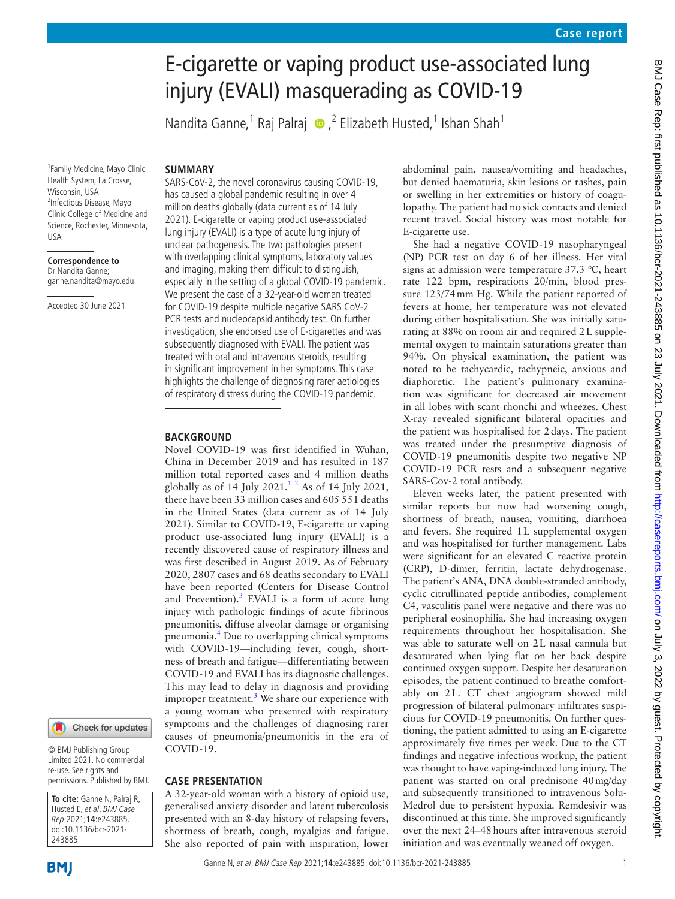# E-cigarette or vaping product use-associated lung injury (EVALI) masquerading as COVID-19

NanditaGanne,<sup>1</sup> Raj Palraj (D, <sup>2</sup> Elizabeth Husted,<sup>1</sup> Ishan Shah<sup>1</sup>

#### **SUMMARY**

1 Family Medicine, Mayo Clinic Health System, La Crosse, Wisconsin, USA 2 Infectious Disease, Mayo Clinic College of Medicine and Science, Rochester, Minnesota, USA

**Correspondence to** Dr Nandita Ganne; ganne.nandita@mayo.edu

Accepted 30 June 2021

SARS-CoV-2, the novel coronavirus causing COVID-19, has caused a global pandemic resulting in over 4 million deaths globally (data current as of 14 July 2021). E-cigarette or vaping product use-associated lung injury (EVALI) is a type of acute lung injury of unclear pathogenesis. The two pathologies present with overlapping clinical symptoms, laboratory values and imaging, making them difficult to distinguish, especially in the setting of a global COVID-19 pandemic. We present the case of a 32-year-old woman treated for COVID-19 despite multiple negative SARS CoV-2 PCR tests and nucleocapsid antibody test. On further investigation, she endorsed use of E-cigarettes and was subsequently diagnosed with EVALI. The patient was treated with oral and intravenous steroids, resulting in significant improvement in her symptoms. This case highlights the challenge of diagnosing rarer aetiologies of respiratory distress during the COVID-19 pandemic.

#### **BACKGROUND**

Novel COVID-19 was first identified in Wuhan, China in December 2019 and has resulted in 187 million total reported cases and 4 million deaths globally as of  $14$  $14$  July  $2021.<sup>12</sup>$  $2021.<sup>12</sup>$  As of  $14$  July  $2021$ , there have been 33 million cases and 605 551 deaths in the United States (data current as of 14 July 2021). Similar to COVID-19, E-cigarette or vaping product use-associated lung injury (EVALI) is a recently discovered cause of respiratory illness and was first described in August 2019. As of February 2020, 2807 cases and 68 deaths secondary to EVALI have been reported (Centers for Disease Control and Prevention).<sup>[3](#page-3-2)</sup> EVALI is a form of acute lung injury with pathologic findings of acute fibrinous pneumonitis, diffuse alveolar damage or organising pneumonia.[4](#page-3-3) Due to overlapping clinical symptoms with COVID-19—including fever, cough, shortness of breath and fatigue—differentiating between COVID-19 and EVALI has its diagnostic challenges. This may lead to delay in diagnosis and providing improper treatment.<sup>[3](#page-3-2)</sup> We share our experience with a young woman who presented with respiratory symptoms and the challenges of diagnosing rarer causes of pneumonia/pneumonitis in the era of COVID-19.

#### **CASE PRESENTATION**

A 32-year-old woman with a history of opioid use, generalised anxiety disorder and latent tuberculosis presented with an 8-day history of relapsing fevers, shortness of breath, cough, myalgias and fatigue. She also reported of pain with inspiration, lower

abdominal pain, nausea/vomiting and headaches, but denied haematuria, skin lesions or rashes, pain or swelling in her extremities or history of coagulopathy. The patient had no sick contacts and denied recent travel. Social history was most notable for E-cigarette use.

She had a negative COVID-19 nasopharyngeal (NP) PCR test on day 6 of her illness. Her vital signs at admission were temperature 37.3 ℃, heart rate 122 bpm, respirations 20/min, blood pressure 123/74mm Hg. While the patient reported of fevers at home, her temperature was not elevated during either hospitalisation. She was initially saturating at 88% on room air and required 2L supplemental oxygen to maintain saturations greater than 94%. On physical examination, the patient was noted to be tachycardic, tachypneic, anxious and diaphoretic. The patient's pulmonary examination was significant for decreased air movement in all lobes with scant rhonchi and wheezes. Chest X-ray revealed significant bilateral opacities and the patient was hospitalised for 2days. The patient was treated under the presumptive diagnosis of COVID-19 pneumonitis despite two negative NP COVID-19 PCR tests and a subsequent negative SARS-Cov-2 total antibody.

Eleven weeks later, the patient presented with similar reports but now had worsening cough, shortness of breath, nausea, vomiting, diarrhoea and fevers. She required 1L supplemental oxygen and was hospitalised for further management. Labs were significant for an elevated C reactive protein (CRP), D-dimer, ferritin, lactate dehydrogenase. The patient's ANA, DNA double-stranded antibody, cyclic citrullinated peptide antibodies, complement C4, vasculitis panel were negative and there was no peripheral eosinophilia. She had increasing oxygen requirements throughout her hospitalisation. She was able to saturate well on 2L nasal cannula but desaturated when lying flat on her back despite continued oxygen support. Despite her desaturation episodes, the patient continued to breathe comfortably on 2L. CT chest angiogram showed mild progression of bilateral pulmonary infiltrates suspicious for COVID-19 pneumonitis. On further questioning, the patient admitted to using an E-cigarette approximately five times per week. Due to the CT findings and negative infectious workup, the patient was thought to have vaping-induced lung injury. The patient was started on oral prednisone 40mg/day and subsequently transitioned to intravenous Solu-Medrol due to persistent hypoxia. Remdesivir was discontinued at this time. She improved significantly over the next 24–48hours after intravenous steroid initiation and was eventually weaned off oxygen.

243885

**To cite:** Ganne N, Palraj R, Husted E, et al. BMJ Case Rep 2021;**14**:e243885. doi:10.1136/bcr-2021-

© BMJ Publishing Group Limited 2021. No commercial re-use. See rights and permissions. Published by BMJ.

Check for updates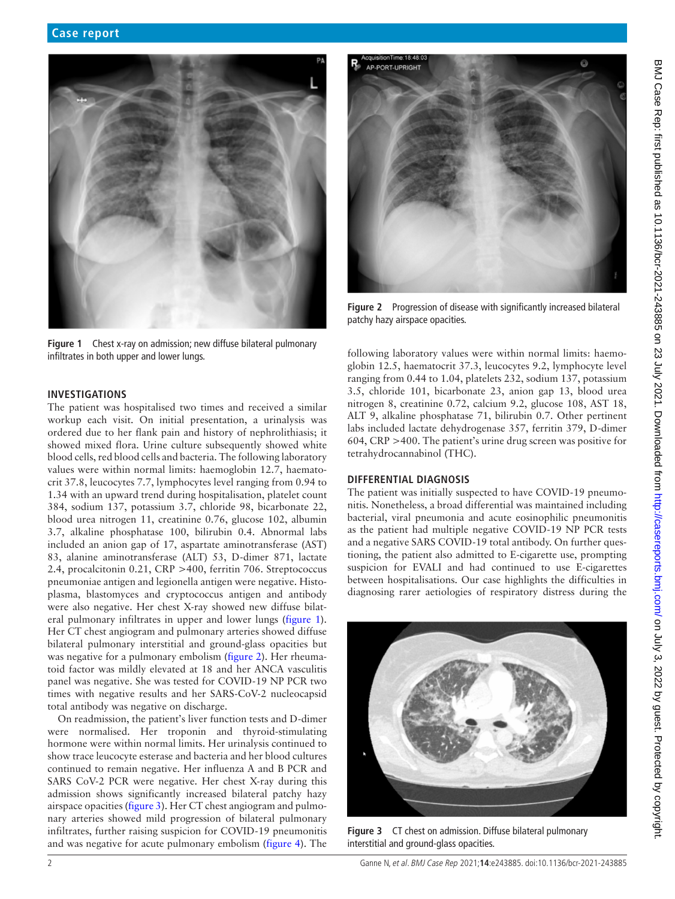

**Figure 1** Chest x-ray on admission; new diffuse bilateral pulmonary infiltrates in both upper and lower lungs.

#### <span id="page-1-0"></span>**INVESTIGATIONS**

The patient was hospitalised two times and received a similar workup each visit. On initial presentation, a urinalysis was ordered due to her flank pain and history of nephrolithiasis; it showed mixed flora. Urine culture subsequently showed white blood cells, red blood cells and bacteria. The following laboratory values were within normal limits: haemoglobin 12.7, haematocrit 37.8, leucocytes 7.7, lymphocytes level ranging from 0.94 to 1.34 with an upward trend during hospitalisation, platelet count 384, sodium 137, potassium 3.7, chloride 98, bicarbonate 22, blood urea nitrogen 11, creatinine 0.76, glucose 102, albumin 3.7, alkaline phosphatase 100, bilirubin 0.4. Abnormal labs included an anion gap of 17, aspartate aminotransferase (AST) 83, alanine aminotransferase (ALT) 53, D-dimer 871, lactate 2.4, procalcitonin 0.21, CRP >400, ferritin 706. Streptococcus pneumoniae antigen and legionella antigen were negative. Histoplasma, blastomyces and cryptococcus antigen and antibody were also negative. Her chest X-ray showed new diffuse bilateral pulmonary infiltrates in upper and lower lungs [\(figure](#page-1-0) 1). Her CT chest angiogram and pulmonary arteries showed diffuse bilateral pulmonary interstitial and ground-glass opacities but was negative for a pulmonary embolism ([figure](#page-1-1) 2). Her rheumatoid factor was mildly elevated at 18 and her ANCA vasculitis panel was negative. She was tested for COVID-19 NP PCR two times with negative results and her SARS-CoV-2 nucleocapsid total antibody was negative on discharge.

On readmission, the patient's liver function tests and D-dimer were normalised. Her troponin and thyroid-stimulating hormone were within normal limits. Her urinalysis continued to show trace leucocyte esterase and bacteria and her blood cultures continued to remain negative. Her influenza A and B PCR and SARS CoV-2 PCR were negative. Her chest X-ray during this admission shows significantly increased bilateral patchy hazy airspace opacities [\(figure](#page-1-2) 3). Her CT chest angiogram and pulmonary arteries showed mild progression of bilateral pulmonary infiltrates, further raising suspicion for COVID-19 pneumonitis and was negative for acute pulmonary embolism [\(figure](#page-2-0) 4). The



**Figure 2** Progression of disease with significantly increased bilateral patchy hazy airspace opacities.

<span id="page-1-1"></span>following laboratory values were within normal limits: haemoglobin 12.5, haematocrit 37.3, leucocytes 9.2, lymphocyte level ranging from 0.44 to 1.04, platelets 232, sodium 137, potassium 3.5, chloride 101, bicarbonate 23, anion gap 13, blood urea nitrogen 8, creatinine 0.72, calcium 9.2, glucose 108, AST 18, ALT 9, alkaline phosphatase 71, bilirubin 0.7. Other pertinent labs included lactate dehydrogenase 357, ferritin 379, D-dimer 604, CRP >400. The patient's urine drug screen was positive for tetrahydrocannabinol (THC).

#### **DIFFERENTIAL DIAGNOSIS**

The patient was initially suspected to have COVID-19 pneumonitis. Nonetheless, a broad differential was maintained including bacterial, viral pneumonia and acute eosinophilic pneumonitis as the patient had multiple negative COVID-19 NP PCR tests and a negative SARS COVID-19 total antibody. On further questioning, the patient also admitted to E-cigarette use, prompting suspicion for EVALI and had continued to use E-cigarettes between hospitalisations. Our case highlights the difficulties in diagnosing rarer aetiologies of respiratory distress during the

<span id="page-1-2"></span>

**Figure 3** CT chest on admission. Diffuse bilateral pulmonary interstitial and ground-glass opacities.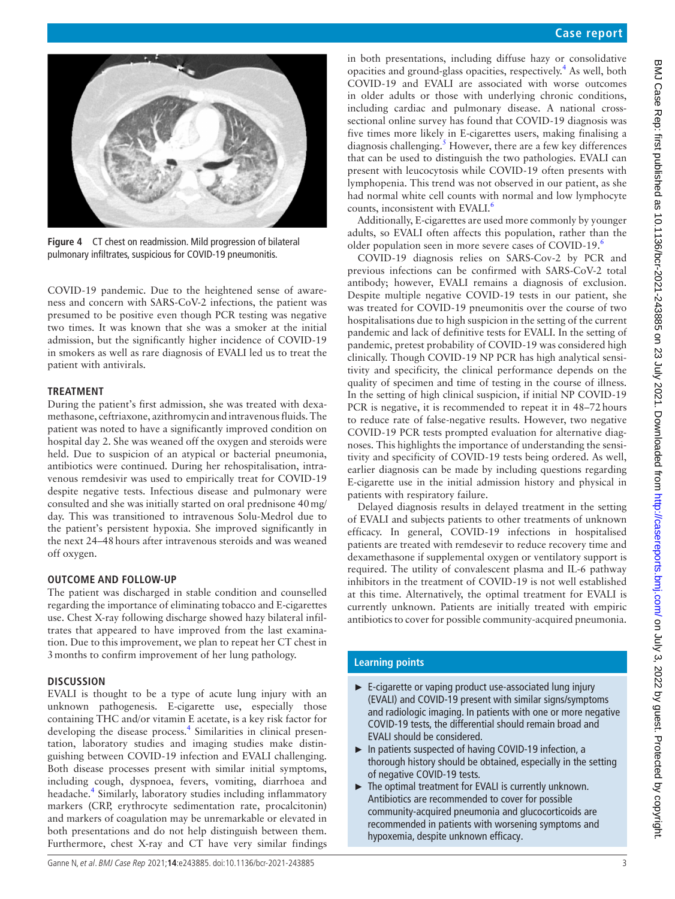

**Figure 4** CT chest on readmission. Mild progression of bilateral pulmonary infiltrates, suspicious for COVID-19 pneumonitis.

<span id="page-2-0"></span>COVID-19 pandemic. Due to the heightened sense of awareness and concern with SARS-CoV-2 infections, the patient was presumed to be positive even though PCR testing was negative two times. It was known that she was a smoker at the initial admission, but the significantly higher incidence of COVID-19 in smokers as well as rare diagnosis of EVALI led us to treat the patient with antivirals.

## **TREATMENT**

During the patient's first admission, she was treated with dexamethasone, ceftriaxone, azithromycin and intravenous fluids. The patient was noted to have a significantly improved condition on hospital day 2. She was weaned off the oxygen and steroids were held. Due to suspicion of an atypical or bacterial pneumonia, antibiotics were continued. During her rehospitalisation, intravenous remdesivir was used to empirically treat for COVID-19 despite negative tests. Infectious disease and pulmonary were consulted and she was initially started on oral prednisone 40mg/ day. This was transitioned to intravenous Solu-Medrol due to the patient's persistent hypoxia. She improved significantly in the next 24-48 hours after intravenous steroids and was weaned off oxygen.

## **OUTCOME AND FOLLOW-UP**

The patient was discharged in stable condition and counselled regarding the importance of eliminating tobacco and E-cigarettes use. Chest X-ray following discharge showed hazy bilateral infiltrates that appeared to have improved from the last examination. Due to this improvement, we plan to repeat her CT chest in 3months to confirm improvement of her lung pathology.

## **DISCUSSION**

EVALI is thought to be a type of acute lung injury with an unknown pathogenesis. E-cigarette use, especially those containing THC and/or vitamin E acetate, is a key risk factor for developing the disease process.<sup>[4](#page-3-3)</sup> Similarities in clinical presentation, laboratory studies and imaging studies make distinguishing between COVID-19 infection and EVALI challenging. Both disease processes present with similar initial symptoms, including cough, dyspnoea, fevers, vomiting, diarrhoea and headache[.4](#page-3-3) Similarly, laboratory studies including inflammatory markers (CRP, erythrocyte sedimentation rate, procalcitonin) and markers of coagulation may be unremarkable or elevated in both presentations and do not help distinguish between them. Furthermore, chest X-ray and CT have very similar findings

in both presentations, including diffuse hazy or consolidative opacities and ground-glass opacities, respectively.<sup>[4](#page-3-3)</sup> As well, both COVID-19 and EVALI are associated with worse outcomes in older adults or those with underlying chronic conditions, including cardiac and pulmonary disease. A national crosssectional online survey has found that COVID-19 diagnosis was five times more likely in E-cigarettes users, making finalising a diagnosis challenging.<sup>[5](#page-3-4)</sup> However, there are a few key differences that can be used to distinguish the two pathologies. EVALI can present with leucocytosis while COVID-19 often presents with lymphopenia. This trend was not observed in our patient, as she had normal white cell counts with normal and low lymphocyte counts, inconsistent with EVALI.<sup>[6](#page-3-5)</sup>

Additionally, E-cigarettes are used more commonly by younger adults, so EVALI often affects this population, rather than the older population seen in more severe cases of COVID-19.<sup>[6](#page-3-5)</sup>

COVID-19 diagnosis relies on SARS-Cov-2 by PCR and previous infections can be confirmed with SARS-CoV-2 total antibody; however, EVALI remains a diagnosis of exclusion. Despite multiple negative COVID-19 tests in our patient, she was treated for COVID-19 pneumonitis over the course of two hospitalisations due to high suspicion in the setting of the current pandemic and lack of definitive tests for EVALI. In the setting of pandemic, pretest probability of COVID-19 was considered high clinically. Though COVID-19 NP PCR has high analytical sensitivity and specificity, the clinical performance depends on the quality of specimen and time of testing in the course of illness. In the setting of high clinical suspicion, if initial NP COVID-19 PCR is negative, it is recommended to repeat it in 48–72hours to reduce rate of false-negative results. However, two negative COVID-19 PCR tests prompted evaluation for alternative diagnoses. This highlights the importance of understanding the sensitivity and specificity of COVID-19 tests being ordered. As well, earlier diagnosis can be made by including questions regarding E-cigarette use in the initial admission history and physical in patients with respiratory failure.

Delayed diagnosis results in delayed treatment in the setting of EVALI and subjects patients to other treatments of unknown efficacy. In general, COVID-19 infections in hospitalised patients are treated with remdesevir to reduce recovery time and dexamethasone if supplemental oxygen or ventilatory support is required. The utility of convalescent plasma and IL-6 pathway inhibitors in the treatment of COVID-19 is not well established at this time. Alternatively, the optimal treatment for EVALI is currently unknown. Patients are initially treated with empiric antibiotics to cover for possible community-acquired pneumonia.

## **Learning points**

- ► E-cigarette or vaping product use-associated lung injury (EVALI) and COVID-19 present with similar signs/symptoms and radiologic imaging. In patients with one or more negative COVID-19 tests, the differential should remain broad and EVALI should be considered.
- ► In patients suspected of having COVID-19 infection, a thorough history should be obtained, especially in the setting of negative COVID-19 tests.
- ► The optimal treatment for EVALI is currently unknown. Antibiotics are recommended to cover for possible community-acquired pneumonia and glucocorticoids are recommended in patients with worsening symptoms and hypoxemia, despite unknown efficacy.